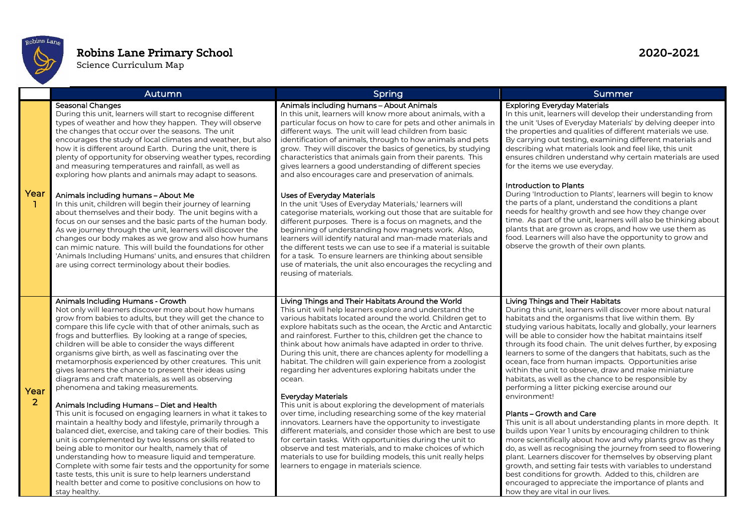

## Robins Lane Primary School 2020-2021

Science Curriculum Map

|                      | Autumn                                                                                                                                                                                                                                                                                                                                                                                                                                                                                                                                                                                                                                                                                                                                                                                                                                                                                                                                                                                                                                                                                                                                                                                                                                                 | Spring                                                                                                                                                                                                                                                                                                                                                                                                                                                                                                                                                                                                                                                                                                                                                                                                                                                                                                                                                                                                                                                                                         | Summer                                                                                                                                                                                                                                                                                                                                                                                                                                                                                                                                                                                                                                                                                                                                                                                                                                                                                                                                                                                                                                                                                                                                                                                                                                   |
|----------------------|--------------------------------------------------------------------------------------------------------------------------------------------------------------------------------------------------------------------------------------------------------------------------------------------------------------------------------------------------------------------------------------------------------------------------------------------------------------------------------------------------------------------------------------------------------------------------------------------------------------------------------------------------------------------------------------------------------------------------------------------------------------------------------------------------------------------------------------------------------------------------------------------------------------------------------------------------------------------------------------------------------------------------------------------------------------------------------------------------------------------------------------------------------------------------------------------------------------------------------------------------------|------------------------------------------------------------------------------------------------------------------------------------------------------------------------------------------------------------------------------------------------------------------------------------------------------------------------------------------------------------------------------------------------------------------------------------------------------------------------------------------------------------------------------------------------------------------------------------------------------------------------------------------------------------------------------------------------------------------------------------------------------------------------------------------------------------------------------------------------------------------------------------------------------------------------------------------------------------------------------------------------------------------------------------------------------------------------------------------------|------------------------------------------------------------------------------------------------------------------------------------------------------------------------------------------------------------------------------------------------------------------------------------------------------------------------------------------------------------------------------------------------------------------------------------------------------------------------------------------------------------------------------------------------------------------------------------------------------------------------------------------------------------------------------------------------------------------------------------------------------------------------------------------------------------------------------------------------------------------------------------------------------------------------------------------------------------------------------------------------------------------------------------------------------------------------------------------------------------------------------------------------------------------------------------------------------------------------------------------|
| Year<br>-11          | Seasonal Changes<br>During this unit, learners will start to recognise different<br>types of weather and how they happen. They will observe<br>the changes that occur over the seasons. The unit<br>encourages the study of local climates and weather, but also<br>how it is different around Earth. During the unit, there is<br>plenty of opportunity for observing weather types, recording<br>and measuring temperatures and rainfall, as well as<br>exploring how plants and animals may adapt to seasons.                                                                                                                                                                                                                                                                                                                                                                                                                                                                                                                                                                                                                                                                                                                                       | Animals including humans - About Animals<br>In this unit, learners will know more about animals, with a<br>particular focus on how to care for pets and other animals in<br>different ways. The unit will lead children from basic<br>identification of animals, through to how animals and pets<br>grow. They will discover the basics of genetics, by studying<br>characteristics that animals gain from their parents. This<br>gives learners a good understanding of different species<br>and also encourages care and preservation of animals.                                                                                                                                                                                                                                                                                                                                                                                                                                                                                                                                            | <b>Exploring Everyday Materials</b><br>In this unit, learners will develop their understanding from<br>the unit 'Uses of Everyday Materials' by delving deeper into<br>the properties and qualities of different materials we use.<br>By carrying out testing, examining different materials and<br>describing what materials look and feel like, this unit<br>ensures children understand why certain materials are used<br>for the items we use everyday.                                                                                                                                                                                                                                                                                                                                                                                                                                                                                                                                                                                                                                                                                                                                                                              |
|                      | Animals including humans - About Me<br>In this unit, children will begin their journey of learning<br>about themselves and their body. The unit begins with a<br>focus on our senses and the basic parts of the human body.<br>As we journey through the unit, learners will discover the<br>changes our body makes as we grow and also how humans<br>can mimic nature. This will build the foundations for other<br>'Animals Including Humans' units, and ensures that children<br>are using correct terminology about their bodies.                                                                                                                                                                                                                                                                                                                                                                                                                                                                                                                                                                                                                                                                                                                  | Uses of Everyday Materials<br>In the unit 'Uses of Everyday Materials,' learners will<br>categorise materials, working out those that are suitable for<br>different purposes. There is a focus on magnets, and the<br>beginning of understanding how magnets work. Also,<br>learners will identify natural and man-made materials and<br>the different tests we can use to see if a material is suitable<br>for a task. To ensure learners are thinking about sensible<br>use of materials, the unit also encourages the recycling and<br>reusing of materials.                                                                                                                                                                                                                                                                                                                                                                                                                                                                                                                                | Introduction to Plants<br>During 'Introduction to Plants', learners will begin to know<br>the parts of a plant, understand the conditions a plant<br>needs for healthy growth and see how they change over<br>time. As part of the unit, learners will also be thinking about<br>plants that are grown as crops, and how we use them as<br>food. Learners will also have the opportunity to grow and<br>observe the growth of their own plants.                                                                                                                                                                                                                                                                                                                                                                                                                                                                                                                                                                                                                                                                                                                                                                                          |
| Year<br><sup>2</sup> | Animals Including Humans - Growth<br>Not only will learners discover more about how humans<br>grow from babies to adults, but they will get the chance to<br>compare this life cycle with that of other animals, such as<br>frogs and butterflies. By looking at a range of species,<br>children will be able to consider the ways different<br>organisms give birth, as well as fascinating over the<br>metamorphosis experienced by other creatures. This unit<br>gives learners the chance to present their ideas using<br>diagrams and craft materials, as well as observing<br>phenomena and taking measurements.<br>Animals Including Humans - Diet and Health<br>This unit is focused on engaging learners in what it takes to<br>maintain a healthy body and lifestyle, primarily through a<br>balanced diet, exercise, and taking care of their bodies. This<br>unit is complemented by two lessons on skills related to<br>being able to monitor our health, namely that of<br>understanding how to measure liquid and temperature.<br>Complete with some fair tests and the opportunity for some<br>taste tests, this unit is sure to help learners understand<br>health better and come to positive conclusions on how to<br>stay healthy. | Living Things and Their Habitats Around the World<br>This unit will help learners explore and understand the<br>various habitats located around the world. Children get to<br>explore habitats such as the ocean, the Arctic and Antarctic<br>and rainforest. Further to this, children get the chance to<br>think about how animals have adapted in order to thrive.<br>During this unit, there are chances aplenty for modelling a<br>habitat. The children will gain experience from a zoologist<br>regarding her adventures exploring habitats under the<br>ocean.<br><b>Everyday Materials</b><br>This unit is about exploring the development of materials<br>over time, including researching some of the key material<br>innovators. Learners have the opportunity to investigate<br>different materials, and consider those which are best to use<br>for certain tasks. With opportunities during the unit to<br>observe and test materials, and to make choices of which<br>materials to use for building models, this unit really helps<br>learners to engage in materials science. | Living Things and Their Habitats<br>During this unit, learners will discover more about natural<br>habitats and the organisms that live within them. By<br>studying various habitats, locally and globally, your learners<br>will be able to consider how the habitat maintains itself<br>through its food chain. The unit delves further, by exposing<br>learners to some of the dangers that habitats, such as the<br>ocean, face from human impacts. Opportunities arise<br>within the unit to observe, draw and make miniature<br>habitats, as well as the chance to be responsible by<br>performing a litter picking exercise around our<br>environment!<br>Plants-Growth and Care<br>This unit is all about understanding plants in more depth. It<br>builds upon Year 1 units by encouraging children to think<br>more scientifically about how and why plants grow as they<br>do, as well as recognising the journey from seed to flowering<br>plant. Learners discover for themselves by observing plant<br>growth, and setting fair tests with variables to understand<br>best conditions for growth. Added to this, children are<br>encouraged to appreciate the importance of plants and<br>how they are vital in our lives. |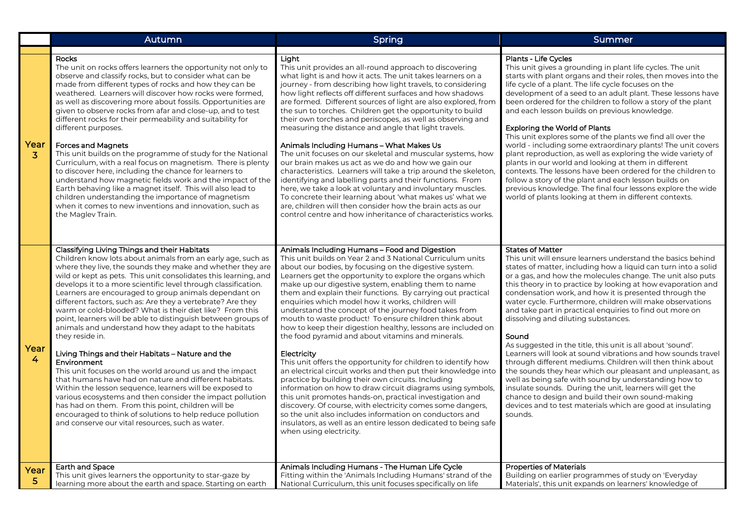|                        | Autumn                                                                                                                                                                                                                                                                                                                                                                                                                                                                                                                                                                                                                                                                                                                                                                                                                                                                                                                                                                                                                                                                                                                                  | Spring                                                                                                                                                                                                                                                                                                                                                                                                                                                                                                                                                                                                                                                                                                                                                                                                                                                                                                                                                                                                                                                                                                                                                                                                       | Summer                                                                                                                                                                                                                                                                                                                                                                                                                                                                                                                                                                                                                                                                                                                                                                                                                                                                                                                                                                                                                               |
|------------------------|-----------------------------------------------------------------------------------------------------------------------------------------------------------------------------------------------------------------------------------------------------------------------------------------------------------------------------------------------------------------------------------------------------------------------------------------------------------------------------------------------------------------------------------------------------------------------------------------------------------------------------------------------------------------------------------------------------------------------------------------------------------------------------------------------------------------------------------------------------------------------------------------------------------------------------------------------------------------------------------------------------------------------------------------------------------------------------------------------------------------------------------------|--------------------------------------------------------------------------------------------------------------------------------------------------------------------------------------------------------------------------------------------------------------------------------------------------------------------------------------------------------------------------------------------------------------------------------------------------------------------------------------------------------------------------------------------------------------------------------------------------------------------------------------------------------------------------------------------------------------------------------------------------------------------------------------------------------------------------------------------------------------------------------------------------------------------------------------------------------------------------------------------------------------------------------------------------------------------------------------------------------------------------------------------------------------------------------------------------------------|--------------------------------------------------------------------------------------------------------------------------------------------------------------------------------------------------------------------------------------------------------------------------------------------------------------------------------------------------------------------------------------------------------------------------------------------------------------------------------------------------------------------------------------------------------------------------------------------------------------------------------------------------------------------------------------------------------------------------------------------------------------------------------------------------------------------------------------------------------------------------------------------------------------------------------------------------------------------------------------------------------------------------------------|
| Year<br>3              | <b>Rocks</b><br>The unit on rocks offers learners the opportunity not only to<br>observe and classify rocks, but to consider what can be<br>made from different types of rocks and how they can be<br>weathered. Learners will discover how rocks were formed,<br>as well as discovering more about fossils. Opportunities are<br>given to observe rocks from afar and close-up, and to test<br>different rocks for their permeability and suitability for<br>different purposes.<br><b>Forces and Magnets</b><br>This unit builds on the programme of study for the National<br>Curriculum, with a real focus on magnetism. There is plenty<br>to discover here, including the chance for learners to<br>understand how magnetic fields work and the impact of the<br>Earth behaving like a magnet itself. This will also lead to<br>children understanding the importance of magnetism<br>when it comes to new inventions and innovation, such as<br>the Maglev Train.                                                                                                                                                                | Light<br>This unit provides an all-round approach to discovering<br>what light is and how it acts. The unit takes learners on a<br>journey - from describing how light travels, to considering<br>how light reflects off different surfaces and how shadows<br>are formed. Different sources of light are also explored, from<br>the sun to torches. Children get the opportunity to build<br>their own torches and periscopes, as well as observing and<br>measuring the distance and angle that light travels.<br>Animals Including Humans - What Makes Us<br>The unit focuses on our skeletal and muscular systems, how<br>our brain makes us act as we do and how we gain our<br>characteristics. Learners will take a trip around the skeleton,<br>identifying and labelling parts and their functions. From<br>here, we take a look at voluntary and involuntary muscles.<br>To concrete their learning about 'what makes us' what we<br>are, children will then consider how the brain acts as our<br>control centre and how inheritance of characteristics works.                                                                                                                                    | Plants - Life Cycles<br>This unit gives a grounding in plant life cycles. The unit<br>starts with plant organs and their roles, then moves into the<br>life cycle of a plant. The life cycle focuses on the<br>development of a seed to an adult plant. These lessons have<br>been ordered for the children to follow a story of the plant<br>and each lesson builds on previous knowledge.<br><b>Exploring the World of Plants</b><br>This unit explores some of the plants we find all over the<br>world - including some extraordinary plants! The unit covers<br>plant reproduction, as well as exploring the wide variety of<br>plants in our world and looking at them in different<br>contexts. The lessons have been ordered for the children to<br>follow a story of the plant and each lesson builds on<br>previous knowledge. The final four lessons explore the wide<br>world of plants looking at them in different contexts.                                                                                           |
| Year<br>$\overline{4}$ | Classifying Living Things and their Habitats<br>Children know lots about animals from an early age, such as<br>where they live, the sounds they make and whether they are<br>wild or kept as pets. This unit consolidates this learning, and<br>develops it to a more scientific level through classification.<br>Learners are encouraged to group animals dependant on<br>different factors, such as: Are they a vertebrate? Are they<br>warm or cold-blooded? What is their diet like? From this<br>point, learners will be able to distinguish between groups of<br>animals and understand how they adapt to the habitats<br>they reside in.<br>Living Things and their Habitats - Nature and the<br>Environment<br>This unit focuses on the world around us and the impact<br>that humans have had on nature and different habitats.<br>Within the lesson sequence, learners will be exposed to<br>various ecosystems and then consider the impact pollution<br>has had on them. From this point, children will be<br>encouraged to think of solutions to help reduce pollution<br>and conserve our vital resources, such as water. | Animals Including Humans - Food and Digestion<br>This unit builds on Year 2 and 3 National Curriculum units<br>about our bodies, by focusing on the digestive system.<br>Learners get the opportunity to explore the organs which<br>make up our digestive system, enabling them to name<br>them and explain their functions. By carrying out practical<br>enquiries which model how it works, children will<br>understand the concept of the journey food takes from<br>mouth to waste product! To ensure children think about<br>how to keep their digestion healthy, lessons are included on<br>the food pyramid and about vitamins and minerals.<br>Electricity<br>This unit offers the opportunity for children to identify how<br>an electrical circuit works and then put their knowledge into<br>practice by building their own circuits. Including<br>information on how to draw circuit diagrams using symbols,<br>this unit promotes hands-on, practical investigation and<br>discovery. Of course, with electricity comes some dangers,<br>so the unit also includes information on conductors and<br>insulators, as well as an entire lesson dedicated to being safe<br>when using electricity. | <b>States of Matter</b><br>This unit will ensure learners understand the basics behind<br>states of matter, including how a liquid can turn into a solid<br>or a gas, and how the molecules change. The unit also puts<br>this theory in to practice by looking at how evaporation and<br>condensation work, and how it is presented through the<br>water cycle. Furthermore, children will make observations<br>and take part in practical enquiries to find out more on<br>dissolving and diluting substances.<br>Sound<br>As suggested in the title, this unit is all about 'sound'.<br>Learners will look at sound vibrations and how sounds travel<br>through different mediums. Children will then think about<br>the sounds they hear which our pleasant and unpleasant, as<br>well as being safe with sound by understanding how to<br>insulate sounds. During the unit, learners will get the<br>chance to design and build their own sound-making<br>devices and to test materials which are good at insulating<br>sounds. |
| Year<br>5              | <b>Earth and Space</b><br>This unit gives learners the opportunity to star-gaze by<br>learning more about the earth and space. Starting on earth                                                                                                                                                                                                                                                                                                                                                                                                                                                                                                                                                                                                                                                                                                                                                                                                                                                                                                                                                                                        | Animals Including Humans - The Human Life Cycle<br>Fitting within the 'Animals Including Humans' strand of the<br>National Curriculum, this unit focuses specifically on life                                                                                                                                                                                                                                                                                                                                                                                                                                                                                                                                                                                                                                                                                                                                                                                                                                                                                                                                                                                                                                | <b>Properties of Materials</b><br>Building on earlier programmes of study on 'Everyday<br>Materials', this unit expands on learners' knowledge of                                                                                                                                                                                                                                                                                                                                                                                                                                                                                                                                                                                                                                                                                                                                                                                                                                                                                    |